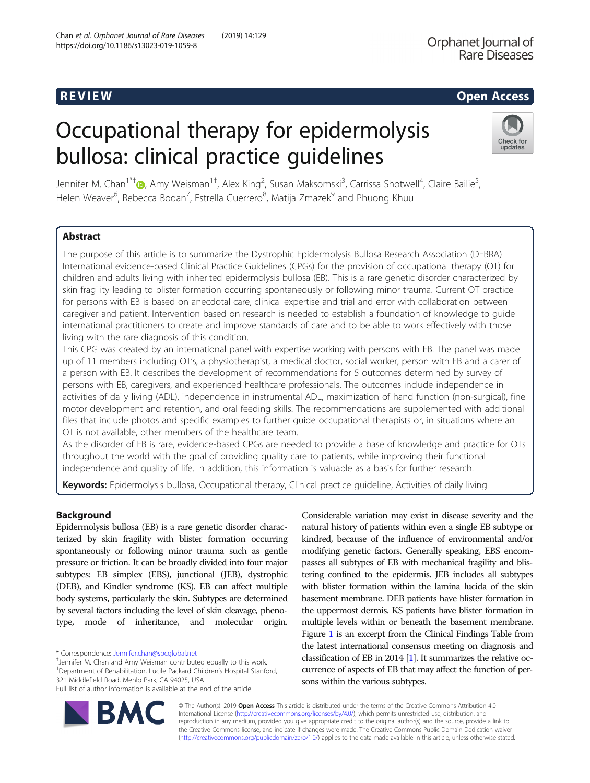# R EVI EW Open Access

# Occupational therapy for epidermolysis bullosa: clinical practice guidelines



Jennifer M. Chan<sup>1\*†</sup>®, Amy Weisman<sup>1†</sup>, Alex King<sup>2</sup>, Susan Maksomski<sup>3</sup>, Carrissa Shotwell<sup>4</sup>, Claire Bailie<sup>5</sup> , Helen Weaver<sup>6</sup>, Rebecca Bodan<sup>7</sup>, Estrella Guerrero<sup>8</sup>, Matija Zmazek<sup>9</sup> and Phuong Khuu<sup>1</sup>

# Abstract

The purpose of this article is to summarize the Dystrophic Epidermolysis Bullosa Research Association (DEBRA) International evidence-based Clinical Practice Guidelines (CPGs) for the provision of occupational therapy (OT) for children and adults living with inherited epidermolysis bullosa (EB). This is a rare genetic disorder characterized by skin fragility leading to blister formation occurring spontaneously or following minor trauma. Current OT practice for persons with EB is based on anecdotal care, clinical expertise and trial and error with collaboration between caregiver and patient. Intervention based on research is needed to establish a foundation of knowledge to guide international practitioners to create and improve standards of care and to be able to work effectively with those living with the rare diagnosis of this condition.

This CPG was created by an international panel with expertise working with persons with EB. The panel was made up of 11 members including OT's, a physiotherapist, a medical doctor, social worker, person with EB and a carer of a person with EB. It describes the development of recommendations for 5 outcomes determined by survey of persons with EB, caregivers, and experienced healthcare professionals. The outcomes include independence in activities of daily living (ADL), independence in instrumental ADL, maximization of hand function (non-surgical), fine motor development and retention, and oral feeding skills. The recommendations are supplemented with additional files that include photos and specific examples to further guide occupational therapists or, in situations where an OT is not available, other members of the healthcare team.

As the disorder of EB is rare, evidence-based CPGs are needed to provide a base of knowledge and practice for OTs throughout the world with the goal of providing quality care to patients, while improving their functional independence and quality of life. In addition, this information is valuable as a basis for further research.

Keywords: Epidermolysis bullosa, Occupational therapy, Clinical practice guideline, Activities of daily living

# **Background**

Epidermolysis bullosa (EB) is a rare genetic disorder characterized by skin fragility with blister formation occurring spontaneously or following minor trauma such as gentle pressure or friction. It can be broadly divided into four major subtypes: EB simplex (EBS), junctional (JEB), dystrophic (DEB), and Kindler syndrome (KS). EB can affect multiple body systems, particularly the skin. Subtypes are determined by several factors including the level of skin cleavage, phenotype, mode of inheritance, and molecular origin.

\* Correspondence: [Jennifer.chan@sbcglobal.net](mailto:Jennifer.chan@sbcglobal.net) †

<sup>+</sup>Jennifer M. Chan and Amy Weisman contributed equally to this work <sup>1</sup>Department of Rehabilitation, Lucile Packard Children's Hospital Stanford, 321 Middlefield Road, Menlo Park, CA 94025, USA

Considerable variation may exist in disease severity and the natural history of patients within even a single EB subtype or kindred, because of the influence of environmental and/or modifying genetic factors. Generally speaking, EBS encompasses all subtypes of EB with mechanical fragility and blistering confined to the epidermis. JEB includes all subtypes with blister formation within the lamina lucida of the skin basement membrane. DEB patients have blister formation in the uppermost dermis. KS patients have blister formation in multiple levels within or beneath the basement membrane. Figure [1](#page-1-0) is an excerpt from the Clinical Findings Table from the latest international consensus meeting on diagnosis and classification of EB in 2014 [\[1](#page-11-0)]. It summarizes the relative occurrence of aspects of EB that may affect the function of persons within the various subtypes.



© The Author(s). 2019 Open Access This article is distributed under the terms of the Creative Commons Attribution 4.0 International License [\(http://creativecommons.org/licenses/by/4.0/](http://creativecommons.org/licenses/by/4.0/)), which permits unrestricted use, distribution, and reproduction in any medium, provided you give appropriate credit to the original author(s) and the source, provide a link to the Creative Commons license, and indicate if changes were made. The Creative Commons Public Domain Dedication waiver [\(http://creativecommons.org/publicdomain/zero/1.0/](http://creativecommons.org/publicdomain/zero/1.0/)) applies to the data made available in this article, unless otherwise stated.

Full list of author information is available at the end of the article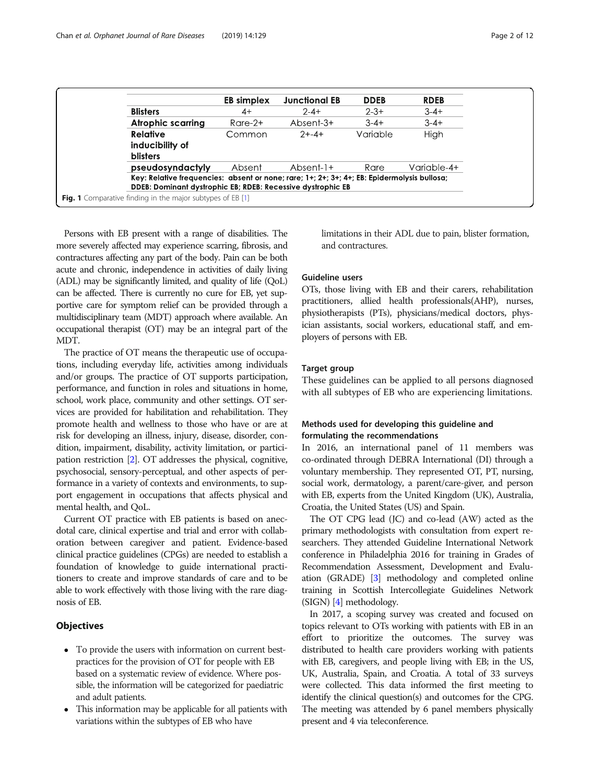<span id="page-1-0"></span>

|                                                                                                                                                            | EB simplex | <b>Junctional EB</b> | <b>DDEB</b> | <b>RDEB</b> |  |  |
|------------------------------------------------------------------------------------------------------------------------------------------------------------|------------|----------------------|-------------|-------------|--|--|
| <b>Blisters</b>                                                                                                                                            | 4+         | $2 - 4 +$            | $2 - 3 +$   | $3 - 4 +$   |  |  |
| <b>Atrophic scarring</b>                                                                                                                                   | $R$ are-2+ | Absent-3+            | $3-4+$      | $3-4+$      |  |  |
| Relative<br>inducibility of<br><b>blisters</b>                                                                                                             | Common     | $2 + -4 +$           | Variable    | High        |  |  |
| pseudosyndactyly                                                                                                                                           | Absent     | $Absent-1+$          | Rare        | Variable-4+ |  |  |
| Key: Relative frequencies: absent or none; rare; 1+; 2+; 3+; 4+; EB: Epidermolysis bullosa;<br>DDEB: Dominant dystrophic EB; RDEB: Recessive dystrophic EB |            |                      |             |             |  |  |
| Fig. 1 Comparative finding in the major subtypes of EB [1]                                                                                                 |            |                      |             |             |  |  |

Persons with EB present with a range of disabilities. The more severely affected may experience scarring, fibrosis, and contractures affecting any part of the body. Pain can be both acute and chronic, independence in activities of daily living (ADL) may be significantly limited, and quality of life (QoL) can be affected. There is currently no cure for EB, yet supportive care for symptom relief can be provided through a multidisciplinary team (MDT) approach where available. An occupational therapist (OT) may be an integral part of the MDT.

The practice of OT means the therapeutic use of occupations, including everyday life, activities among individuals and/or groups. The practice of OT supports participation, performance, and function in roles and situations in home, school, work place, community and other settings. OT services are provided for habilitation and rehabilitation. They promote health and wellness to those who have or are at risk for developing an illness, injury, disease, disorder, condition, impairment, disability, activity limitation, or participation restriction [\[2\]](#page-11-0). OT addresses the physical, cognitive, psychosocial, sensory-perceptual, and other aspects of performance in a variety of contexts and environments, to support engagement in occupations that affects physical and mental health, and QoL.

Current OT practice with EB patients is based on anecdotal care, clinical expertise and trial and error with collaboration between caregiver and patient. Evidence-based clinical practice guidelines (CPGs) are needed to establish a foundation of knowledge to guide international practitioners to create and improve standards of care and to be able to work effectively with those living with the rare diagnosis of EB.

# **Objectives**

- To provide the users with information on current bestpractices for the provision of OT for people with EB based on a systematic review of evidence. Where possible, the information will be categorized for paediatric and adult patients.
- This information may be applicable for all patients with variations within the subtypes of EB who have

limitations in their ADL due to pain, blister formation, and contractures.

# Guideline users

OTs, those living with EB and their carers, rehabilitation practitioners, allied health professionals(AHP), nurses, physiotherapists (PTs), physicians/medical doctors, physician assistants, social workers, educational staff, and employers of persons with EB.

# Target group

These guidelines can be applied to all persons diagnosed with all subtypes of EB who are experiencing limitations.

# Methods used for developing this guideline and formulating the recommendations

In 2016, an international panel of 11 members was co-ordinated through DEBRA International (DI) through a voluntary membership. They represented OT, PT, nursing, social work, dermatology, a parent/care-giver, and person with EB, experts from the United Kingdom (UK), Australia, Croatia, the United States (US) and Spain.

The OT CPG lead (JC) and co-lead (AW) acted as the primary methodologists with consultation from expert researchers. They attended Guideline International Network conference in Philadelphia 2016 for training in Grades of Recommendation Assessment, Development and Evaluation (GRADE) [\[3\]](#page-11-0) methodology and completed online training in Scottish Intercollegiate Guidelines Network  $(SIGN)$  [[4](#page-11-0)] methodology.

In 2017, a scoping survey was created and focused on topics relevant to OTs working with patients with EB in an effort to prioritize the outcomes. The survey was distributed to health care providers working with patients with EB, caregivers, and people living with EB; in the US, UK, Australia, Spain, and Croatia. A total of 33 surveys were collected. This data informed the first meeting to identify the clinical question(s) and outcomes for the CPG. The meeting was attended by 6 panel members physically present and 4 via teleconference.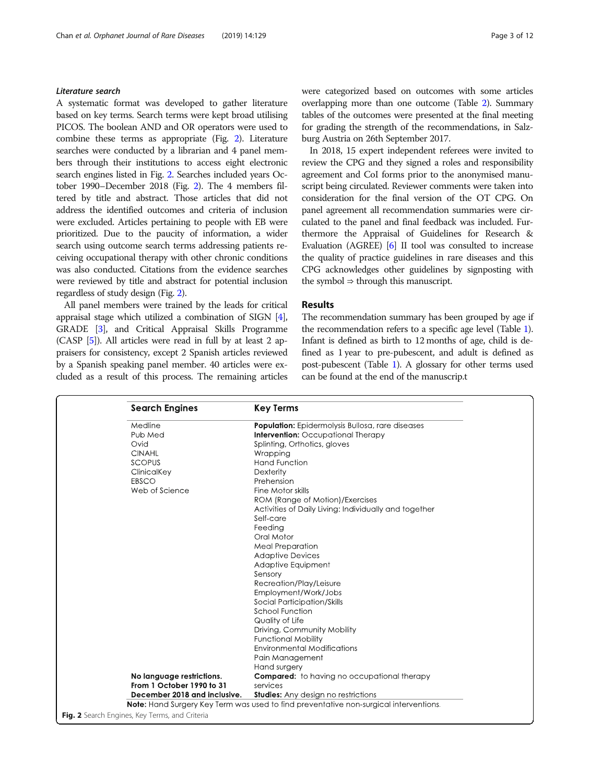# Literature search

A systematic format was developed to gather literature based on key terms. Search terms were kept broad utilising PICOS. The boolean AND and OR operators were used to combine these terms as appropriate (Fig. 2). Literature searches were conducted by a librarian and 4 panel members through their institutions to access eight electronic search engines listed in Fig. 2. Searches included years October 1990–December 2018 (Fig. 2). The 4 members filtered by title and abstract. Those articles that did not address the identified outcomes and criteria of inclusion were excluded. Articles pertaining to people with EB were prioritized. Due to the paucity of information, a wider search using outcome search terms addressing patients receiving occupational therapy with other chronic conditions was also conducted. Citations from the evidence searches were reviewed by title and abstract for potential inclusion regardless of study design (Fig. 2).

All panel members were trained by the leads for critical appraisal stage which utilized a combination of SIGN [[4](#page-11-0)], GRADE [\[3\]](#page-11-0), and Critical Appraisal Skills Programme (CASP [\[5\]](#page-11-0)). All articles were read in full by at least 2 appraisers for consistency, except 2 Spanish articles reviewed by a Spanish speaking panel member. 40 articles were excluded as a result of this process. The remaining articles were categorized based on outcomes with some articles overlapping more than one outcome (Table [2](#page-6-0)). Summary tables of the outcomes were presented at the final meeting for grading the strength of the recommendations, in Salzburg Austria on 26th September 2017.

In 2018, 15 expert independent referees were invited to review the CPG and they signed a roles and responsibility agreement and CoI forms prior to the anonymised manuscript being circulated. Reviewer comments were taken into consideration for the final version of the OT CPG. On panel agreement all recommendation summaries were circulated to the panel and final feedback was included. Furthermore the Appraisal of Guidelines for Research & Evaluation (AGREE) [\[6\]](#page-11-0) II tool was consulted to increase the quality of practice guidelines in rare diseases and this CPG acknowledges other guidelines by signposting with the symbol  $\Rightarrow$  through this manuscript.

# **Results**

The recommendation summary has been grouped by age if the recommendation refers to a specific age level (Table [1](#page-3-0)). Infant is defined as birth to 12 months of age, child is defined as 1 year to pre-pubescent, and adult is defined as post-pubescent (Table [1\)](#page-3-0). A glossary for other terms used can be found at the end of the manuscrip.t

| <b>Search Engines</b>        | <b>Key Terms</b>                                        |
|------------------------------|---------------------------------------------------------|
| Medline                      | <b>Population:</b> Epidermolysis Bullosa, rare diseases |
| Pub Med                      | <b>Intervention:</b> Occupational Therapy               |
| Ovid                         | Splinting, Orthotics, gloves                            |
| <b>CINAHL</b>                | Wrapping                                                |
| <b>SCOPUS</b>                | <b>Hand Function</b>                                    |
| ClinicalKey                  | Dexterity                                               |
| <b>EBSCO</b>                 | Prehension                                              |
| Web of Science               | Fine Motor skills                                       |
|                              | ROM (Range of Motion)/Exercises                         |
|                              | Activities of Daily Living: Individually and together   |
|                              | Self-care                                               |
|                              | Feeding                                                 |
|                              | Oral Motor                                              |
|                              | <b>Meal Preparation</b>                                 |
|                              | <b>Adaptive Devices</b>                                 |
|                              | Adaptive Equipment                                      |
|                              | Sensory                                                 |
|                              | Recreation/Play/Leisure                                 |
|                              | Employment/Work/Jobs                                    |
|                              | Social Participation/Skills                             |
|                              | School Function                                         |
|                              | Quality of Life                                         |
|                              | Driving, Community Mobility                             |
|                              | <b>Functional Mobility</b>                              |
|                              | <b>Environmental Modifications</b>                      |
|                              | Pain Management                                         |
|                              | Hand surgery                                            |
| No language restrictions.    | <b>Compared:</b> to having no occupational therapy      |
| From 1 October 1990 to 31    | services                                                |
| December 2018 and inclusive. | <b>Studies:</b> Any design no restrictions              |
|                              |                                                         |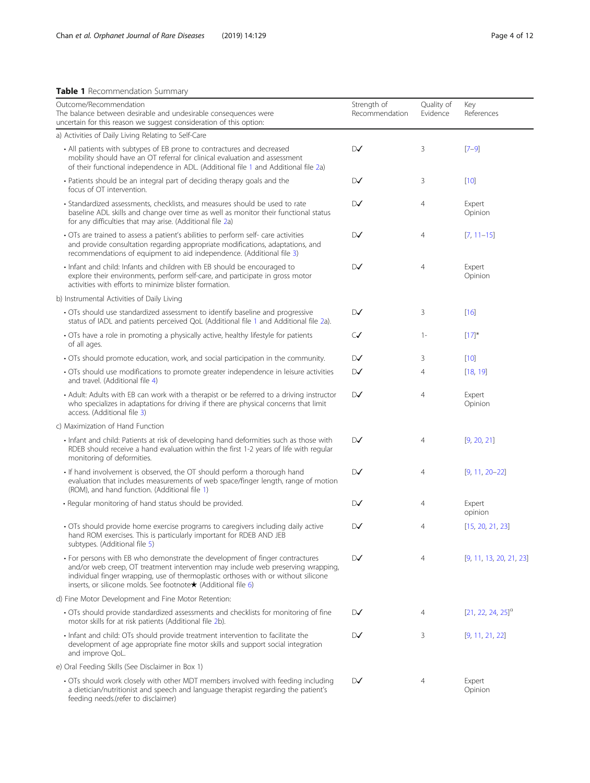# <span id="page-3-0"></span>Table 1 Recommendation Summary

| Outcome/Recommendation<br>The balance between desirable and undesirable consequences were<br>uncertain for this reason we suggest consideration of this option:                                                                                                                                                         | Strength of<br>Recommendation | Quality of<br>Evidence | Key<br>References               |
|-------------------------------------------------------------------------------------------------------------------------------------------------------------------------------------------------------------------------------------------------------------------------------------------------------------------------|-------------------------------|------------------------|---------------------------------|
| a) Activities of Daily Living Relating to Self-Care                                                                                                                                                                                                                                                                     |                               |                        |                                 |
| • All patients with subtypes of EB prone to contractures and decreased<br>mobility should have an OT referral for clinical evaluation and assessment<br>of their functional independence in ADL. (Additional file 1 and Additional file 2a)                                                                             | D√                            | 3                      | $[7-9]$                         |
| • Patients should be an integral part of deciding therapy goals and the<br>focus of OT intervention.                                                                                                                                                                                                                    | D√                            | 3                      | $[10]$                          |
| • Standardized assessments, checklists, and measures should be used to rate<br>baseline ADL skills and change over time as well as monitor their functional status<br>for any difficulties that may arise. (Additional file 2a)                                                                                         | Ⅳ                             | $\overline{4}$         | Expert<br>Opinion               |
| • OTs are trained to assess a patient's abilities to perform self- care activities<br>and provide consultation regarding appropriate modifications, adaptations, and<br>recommendations of equipment to aid independence. (Additional file 3)                                                                           | D√                            | $\overline{4}$         | $[7, 11-15]$                    |
| · Infant and child: Infants and children with EB should be encouraged to<br>explore their environments, perform self-care, and participate in gross motor<br>activities with efforts to minimize blister formation.                                                                                                     | D√                            | $\overline{4}$         | Expert<br>Opinion               |
| b) Instrumental Activities of Daily Living                                                                                                                                                                                                                                                                              |                               |                        |                                 |
| • OTs should use standardized assessment to identify baseline and progressive<br>status of IADL and patients perceived QoL (Additional file 1 and Additional file 2a).                                                                                                                                                  | D√                            | 3                      | $[16]$                          |
| • OTs have a role in promoting a physically active, healthy lifestyle for patients<br>of all ages.                                                                                                                                                                                                                      | $\mathsf{C}\mathsf{V}$        | $1-$                   | $[17]^*$                        |
| • OTs should promote education, work, and social participation in the community.                                                                                                                                                                                                                                        | Ⅳ                             | 3                      | $[10]$                          |
| • OTs should use modifications to promote greater independence in leisure activities<br>and travel. (Additional file 4)                                                                                                                                                                                                 | D√                            | $\overline{4}$         | [18, 19]                        |
| • Adult: Adults with EB can work with a therapist or be referred to a driving instructor<br>who specializes in adaptations for driving if there are physical concerns that limit<br>access. (Additional file 3)                                                                                                         | D√                            | $\overline{4}$         | Expert<br>Opinion               |
| c) Maximization of Hand Function                                                                                                                                                                                                                                                                                        |                               |                        |                                 |
| • Infant and child: Patients at risk of developing hand deformities such as those with<br>RDEB should receive a hand evaluation within the first 1-2 years of life with regular<br>monitoring of deformities.                                                                                                           | D√                            | $\overline{4}$         | [9, 20, 21]                     |
| • If hand involvement is observed, the OT should perform a thorough hand<br>evaluation that includes measurements of web space/finger length, range of motion<br>(ROM), and hand function. (Additional file 1)                                                                                                          | Ⅳ                             | $\overline{4}$         | $[9, 11, 20 - 22]$              |
| • Regular monitoring of hand status should be provided.                                                                                                                                                                                                                                                                 | Ⅳ                             | $\overline{4}$         | Expert<br>opinion               |
| • OTs should provide home exercise programs to caregivers including daily active<br>hand ROM exercises. This is particularly important for RDEB AND JEB<br>subtypes. (Additional file 5)                                                                                                                                | ⅅ✔                            | $\overline{4}$         | [15, 20, 21, 23]                |
| • For persons with EB who demonstrate the development of finger contractures<br>and/or web creep, OT treatment intervention may include web preserving wrapping,<br>individual finger wrapping, use of thermoplastic orthoses with or without silicone<br>inserts, or silicone molds. See footnote★ (Additional file 6) | ⅅℐ                            | 4                      | [9, 11, 13, 20, 21, 23]         |
| d) Fine Motor Development and Fine Motor Retention:                                                                                                                                                                                                                                                                     |                               |                        |                                 |
| • OTs should provide standardized assessments and checklists for monitoring of fine<br>motor skills for at risk patients (Additional file 2b).                                                                                                                                                                          | Ⅳ                             | $\overline{4}$         | $[21, 22, 24, 25]$ <sup>a</sup> |
| • Infant and child: OTs should provide treatment intervention to facilitate the<br>development of age appropriate fine motor skills and support social integration<br>and improve QoL.                                                                                                                                  | D√                            | 3                      | [9, 11, 21, 22]                 |
| e) Oral Feeding Skills (See Disclaimer in Box 1)                                                                                                                                                                                                                                                                        |                               |                        |                                 |
| • OTs should work closely with other MDT members involved with feeding including<br>a dietician/nutritionist and speech and language therapist regarding the patient's<br>feeding needs.(refer to disclaimer)                                                                                                           | D√                            | 4                      | Expert<br>Opinion               |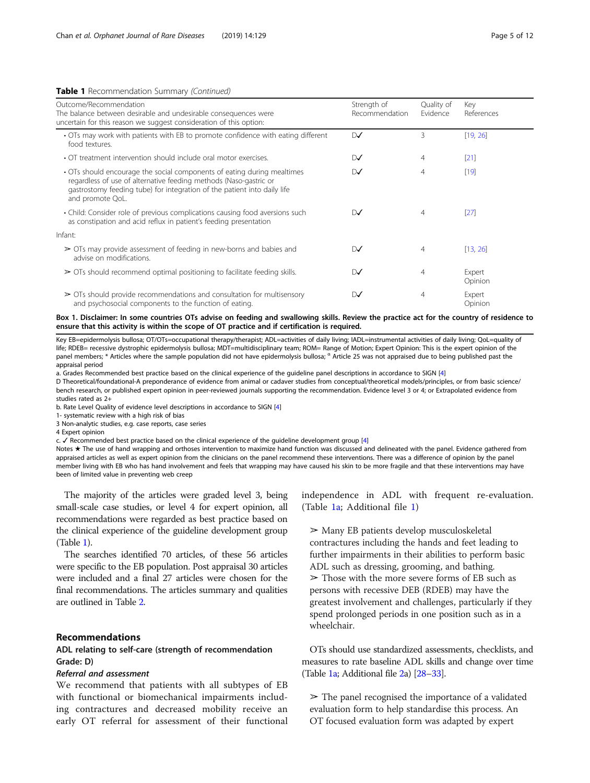#### Table 1 Recommendation Summary (Continued)

| Outcome/Recommendation<br>The balance between desirable and undesirable consequences were<br>uncertain for this reason we suggest consideration of this option:                                                                              | Strength of<br>Recommendation | Quality of<br>Evidence | Key<br>References |
|----------------------------------------------------------------------------------------------------------------------------------------------------------------------------------------------------------------------------------------------|-------------------------------|------------------------|-------------------|
| • OTs may work with patients with EB to promote confidence with eating different<br>food textures.                                                                                                                                           | $\mathbb{D}$                  | 3                      | [19, 26]          |
| • OT treatment intervention should include oral motor exercises.                                                                                                                                                                             | ⅅℐ                            | $\overline{4}$         | $[21]$            |
| • OTs should encourage the social components of eating during mealtimes<br>regardless of use of alternative feeding methods (Naso-gastric or<br>gastrostomy feeding tube) for integration of the patient into daily life<br>and promote QoL. | ⅅℐ                            | $\overline{4}$         | $[19]$            |
| • Child: Consider role of previous complications causing food aversions such<br>as constipation and acid reflux in patient's feeding presentation                                                                                            | ⅅℐ                            | 4                      | $[27]$            |
| Infant:                                                                                                                                                                                                                                      |                               |                        |                   |
| $\geq$ OTs may provide assessment of feeding in new-borns and babies and<br>advise on modifications.                                                                                                                                         | ⅅℐ                            | $\overline{4}$         | [13, 26]          |
| $\geq$ OTs should recommend optimal positioning to facilitate feeding skills.                                                                                                                                                                | $\mathbb{D}$                  | $\overline{4}$         | Expert<br>Opinion |
| $\geq$ OTs should provide recommendations and consultation for multisensory<br>and psychosocial components to the function of eating.                                                                                                        | $\mathbb{D}$                  | $\overline{4}$         | Expert<br>Opinion |

#### Box 1. Disclaimer: In some countries OTs advise on feeding and swallowing skills. Review the practice act for the country of residence to ensure that this activity is within the scope of OT practice and if certification is required.

Key EB=epidermolysis bullosa; OT/OTs=occupational therapy/therapist; ADL=activities of daily living; IADL=instrumental activities of daily living; QoL=quality of life; RDEB= recessive dystrophic epidermolysis bullosa; MDT=multidisciplinary team; ROM= Range of Motion; Expert Opinion: This is the expert opinion of the panel members; \* Articles where the sample population did not have epidermolysis bullosa; <sup>α</sup> Article 25 was not appraised due to being published past the appraisal period

a. Grades Recommended best practice based on the clinical experience of the guideline panel descriptions in accordance to SIGN [[4](#page-11-0)]

D Theoretical/foundational-A preponderance of evidence from animal or cadaver studies from conceptual/theoretical models/principles, or from basic science/ bench research, or published expert opinion in peer-reviewed journals supporting the recommendation. Evidence level 3 or 4; or Extrapolated evidence from studies rated as 2+

b. Rate Level Quality of evidence level descriptions in accordance to SIGN [[4](#page-11-0)]

1- systematic review with a high risk of bias

3 Non-analytic studies, e.g. case reports, case series

4 Expert opinion

c. ✓ Recommended best practice based on the clinical experience of the guideline development group [[4](#page-11-0)]

Notes ★ The use of hand wrapping and orthoses intervention to maximize hand function was discussed and delineated with the panel. Evidence gathered from appraised articles as well as expert opinion from the clinicians on the panel recommend these interventions. There was a difference of opinion by the panel member living with EB who has hand involvement and feels that wrapping may have caused his skin to be more fragile and that these interventions may have been of limited value in preventing web creep

The majority of the articles were graded level 3, being small-scale case studies, or level 4 for expert opinion, all recommendations were regarded as best practice based on the clinical experience of the guideline development group (Table [1](#page-3-0)).

The searches identified 70 articles, of these 56 articles were specific to the EB population. Post appraisal 30 articles were included and a final 27 articles were chosen for the final recommendations. The articles summary and qualities are outlined in Table [2.](#page-6-0)

# Recommendations

# ADL relating to self-care (strength of recommendation Grade: D)

# Referral and assessment

We recommend that patients with all subtypes of EB with functional or biomechanical impairments including contractures and decreased mobility receive an early OT referral for assessment of their functional independence in ADL with frequent re-evaluation. (Table [1a](#page-3-0); Additional file [1\)](#page-9-0)

 $>$  Many EB patients develop musculoskeletal contractures including the hands and feet leading to further impairments in their abilities to perform basic ADL such as dressing, grooming, and bathing.  $\triangleright$  Those with the more severe forms of EB such as persons with recessive DEB (RDEB) may have the greatest involvement and challenges, particularly if they spend prolonged periods in one position such as in a wheelchair.

OTs should use standardized assessments, checklists, and measures to rate baseline ADL skills and change over time (Table [1a](#page-3-0); Additional file [2](#page-9-0)a) [[28](#page-11-0)–[33](#page-11-0)].

 $\geq$  The panel recognised the importance of a validated evaluation form to help standardise this process. An OT focused evaluation form was adapted by expert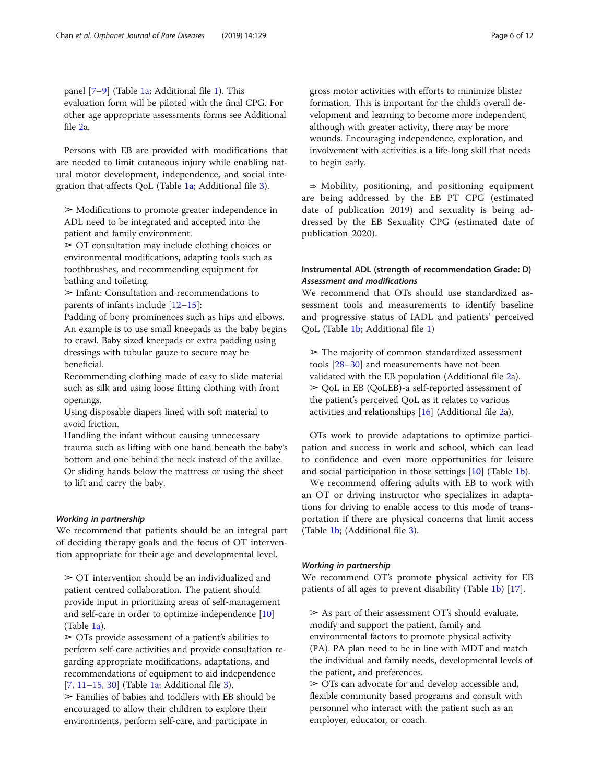panel [\[7](#page-11-0)–[9\]](#page-11-0) (Table [1a;](#page-3-0) Additional file [1\)](#page-9-0). This evaluation form will be piloted with the final CPG. For other age appropriate assessments forms see Additional file [2](#page-9-0)a.

Persons with EB are provided with modifications that are needed to limit cutaneous injury while enabling natural motor development, independence, and social integration that affects QoL (Table [1a;](#page-3-0) Additional file [3\)](#page-9-0).

 $\geq$  Modifications to promote greater independence in ADL need to be integrated and accepted into the patient and family environment.

➢ OT consultation may include clothing choices or environmental modifications, adapting tools such as toothbrushes, and recommending equipment for bathing and toileting.

➢ Infant: Consultation and recommendations to parents of infants include [\[12](#page-11-0)–[15\]](#page-11-0):

Padding of bony prominences such as hips and elbows. An example is to use small kneepads as the baby begins to crawl. Baby sized kneepads or extra padding using dressings with tubular gauze to secure may be beneficial.

Recommending clothing made of easy to slide material such as silk and using loose fitting clothing with front openings.

Using disposable diapers lined with soft material to avoid friction.

Handling the infant without causing unnecessary trauma such as lifting with one hand beneath the baby's bottom and one behind the neck instead of the axillae. Or sliding hands below the mattress or using the sheet to lift and carry the baby.

#### Working in partnership

We recommend that patients should be an integral part of deciding therapy goals and the focus of OT intervention appropriate for their age and developmental level.

➢ OT intervention should be an individualized and patient centred collaboration. The patient should provide input in prioritizing areas of self-management and self-care in order to optimize independence [[10](#page-11-0)] (Table [1a\)](#page-3-0).

 $\geq$  OTs provide assessment of a patient's abilities to perform self-care activities and provide consultation regarding appropriate modifications, adaptations, and recommendations of equipment to aid independence [[7,](#page-11-0) [11](#page-11-0)–[15,](#page-11-0) [30\]](#page-11-0) (Table [1a;](#page-3-0) Additional file [3\)](#page-9-0).

 $\triangleright$  Families of babies and toddlers with EB should be encouraged to allow their children to explore their environments, perform self-care, and participate in

gross motor activities with efforts to minimize blister formation. This is important for the child's overall development and learning to become more independent, although with greater activity, there may be more wounds. Encouraging independence, exploration, and involvement with activities is a life-long skill that needs to begin early.

⇒ Mobility, positioning, and positioning equipment are being addressed by the EB PT CPG (estimated date of publication 2019) and sexuality is being addressed by the EB Sexuality CPG (estimated date of publication 2020).

# Instrumental ADL (strength of recommendation Grade: D) Assessment and modifications

We recommend that OTs should use standardized assessment tools and measurements to identify baseline and progressive status of IADL and patients' perceived QoL (Table [1b](#page-3-0); Additional file [1\)](#page-9-0)

 $\geq$  The majority of common standardized assessment tools [\[28](#page-11-0)–[30](#page-11-0)] and measurements have not been validated with the EB population (Additional file [2](#page-9-0)a). ➢ QoL in EB (QoLEB)-a self-reported assessment of the patient's perceived QoL as it relates to various activities and relationships [\[16\]](#page-11-0) (Additional file [2a](#page-9-0)).

OTs work to provide adaptations to optimize participation and success in work and school, which can lead to confidence and even more opportunities for leisure and social participation in those settings [[10\]](#page-11-0) (Table [1b](#page-3-0)).

We recommend offering adults with EB to work with an OT or driving instructor who specializes in adaptations for driving to enable access to this mode of transportation if there are physical concerns that limit access (Table [1b](#page-3-0); (Additional file [3\)](#page-9-0).

# Working in partnership

We recommend OT's promote physical activity for EB patients of all ages to prevent disability (Table [1b](#page-3-0)) [\[17](#page-11-0)].

 $\geq$  As part of their assessment OT's should evaluate, modify and support the patient, family and environmental factors to promote physical activity (PA). PA plan need to be in line with MDT and match the individual and family needs, developmental levels of the patient, and preferences.

 $\geq$  OTs can advocate for and develop accessible and, flexible community based programs and consult with personnel who interact with the patient such as an employer, educator, or coach.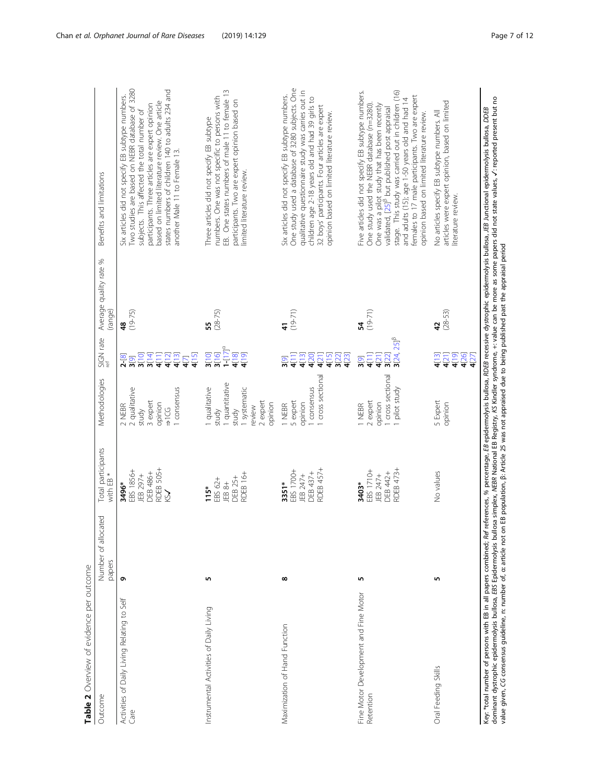<span id="page-6-0"></span>

| Table 2 Overview of evidence per outcome                                                                                                                                                                                                                                                                       |                                   |                                                                  |                                                                                                    |                                                                                      |                                   |                                                                                                                                                                                                                                                                                                                                                                                                                        |
|----------------------------------------------------------------------------------------------------------------------------------------------------------------------------------------------------------------------------------------------------------------------------------------------------------------|-----------------------------------|------------------------------------------------------------------|----------------------------------------------------------------------------------------------------|--------------------------------------------------------------------------------------|-----------------------------------|------------------------------------------------------------------------------------------------------------------------------------------------------------------------------------------------------------------------------------------------------------------------------------------------------------------------------------------------------------------------------------------------------------------------|
| Outcome                                                                                                                                                                                                                                                                                                        | ated<br>Number of alloc<br>papers | Total participants<br>with $EB$ $*$                              | Methodologies                                                                                      | SIGN rate                                                                            | Average quality rate %<br>(range) | Benefits and limitations                                                                                                                                                                                                                                                                                                                                                                                               |
| Activities of Daily Living Relating to Self<br>Care                                                                                                                                                                                                                                                            | ō                                 | RDEB 505+<br>EBS 1856+<br>DEB 486+<br>JEB 297+<br>3496*<br>$\Im$ | 2 qualitative<br>1 consensus<br>3 expert<br>opinion<br>$2$ NEBR<br>study<br>$\frac{10}{10}$        | $4[12]$<br>$4[13]$<br>4[15]<br>3[14]<br>4[1]<br>$2 - [8]$<br>$4\overline{7}$<br>3[9] | $(19 - 75)$<br>$\frac{48}{5}$     | Two studies are based on NEBR database of 3280<br>states numbers of children 140 to adults 234 and<br>Six articles did not specify EB subtype numbers.<br>based on limited literature review. One article<br>participants. Three articles are expert opinion<br>subjects. This affected the total number of<br>another Male 11 to Female 13.                                                                           |
| Instrumental Activities of Daily Living                                                                                                                                                                                                                                                                        | S                                 | RDEB <sub>16+</sub><br>DEB 25+<br>EBS 62+<br>JEB 8+<br>115*      | I quantitative<br>I qualitative<br>I systematic<br>2 expert<br>opinion<br>review<br>study<br>study | $1-[17]^\alpha$<br>4[18]<br>3[10]<br>3[16]                                           | $(28 - 75)$<br>55                 | EB. One states numbers of male 11 to female 13<br>numbers. One was not specific to persons with<br>participants. Two are expert opinion based on<br>Three articles did not specify EB subtype<br>limited literature review.                                                                                                                                                                                            |
| Maximization of Hand Function                                                                                                                                                                                                                                                                                  | $\infty$                          | RDEB 457+<br>EBS 1700+<br>DEB 437+<br>JEB 247+<br>3351*          | 1 cross sectional<br>1 consensus<br>5 expert<br>opinion<br>1 NEBR                                  | 4[15]<br>3[22]<br>4[23]<br>도프<br><del>특</del> 분<br>4[2]<br>3[9]                      | $(19-71)$<br>$\overline{4}$       | One study used a database of 3280 subjects. One<br>qualitative questionnaire study was carries out in<br>Six articles did not specify EB subtype numbers.<br>children age 2-18 years old and had 39 girls to<br>32 boys' participants. Four articles are expert<br>opinion based on limited literature review.                                                                                                         |
| Fine Motor Development and Fine Motor<br>Retention                                                                                                                                                                                                                                                             | m                                 | RDEB 473+<br>EBS 1710+<br>DEB 442+<br>JEB 247+<br>3403*          | 1 cross sectional<br>1 pilot study<br>2 expert<br>opinion<br>1 NEBR                                | $3[24, 25]^8$<br>4[2]<br>3[22]<br>4[11]<br>3[9]                                      | $(19-71)$<br>54                   | stage. This study was carried out in children (16)<br>Five articles did not specify EB subtype numbers.<br>females to 17 male participants. Two are expert<br>and adults (15); age 1-50 years old and had 14<br>One study used the NEBR database (n=3280).<br>One was a pilot study that has been recently<br>validated, [25] <sup>8</sup> but published post appraisal<br>opinion based on limited literature review. |
| Oral Feeding Skills                                                                                                                                                                                                                                                                                            | ۱                                 | No values                                                        | 5 Expert<br>opinion                                                                                | 4[19]<br>4[26]<br>4[13]<br>4[21]<br>427                                              | $(28 - 53)$<br>$\overline{4}$     | articles were expert opinion, based on limited<br>No articles specify EB subtype numbers. All<br>literature review.                                                                                                                                                                                                                                                                                                    |
| value given, CG consensus guideline, n: number of, α: article not on EB population, β: Article 25 was not appraised due to being published past the appraisal period<br>Key: *total number of persons with EB in all papers combined; Ref<br>dominant dystrophic epidermolysis bullosa, EBS Epidermolysis bull |                                   |                                                                  |                                                                                                    |                                                                                      |                                   | losa simplex, NEBR National EB Registry, KS Kindler syndrome, +: value can be more as some papers did not state values, V: reported present but no<br>references, % percentage, EB epidermolysis bullosa, RDEB recessive dystrophic epidermolysis bullosa, JEB Junctional epidermolysis bullosa, DDEB                                                                                                                  |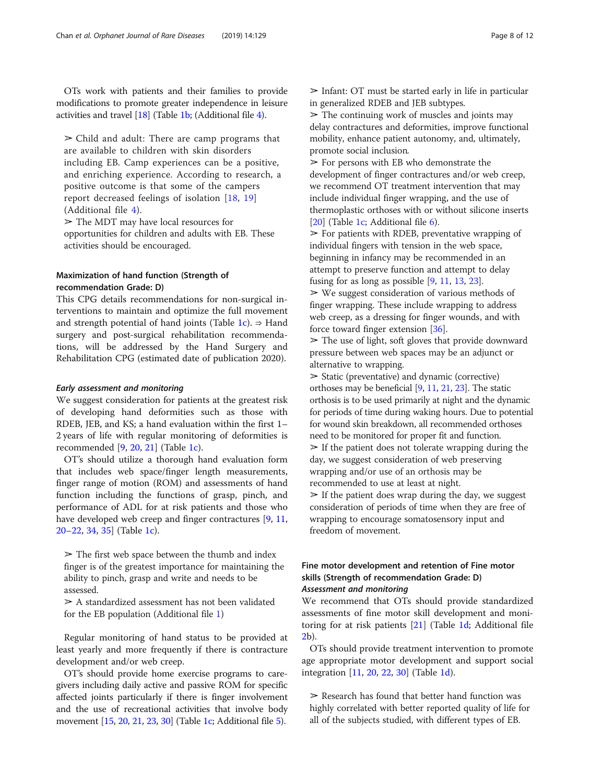OTs work with patients and their families to provide modifications to promote greater independence in leisure activities and travel [\[18\]](#page-11-0) (Table [1b;](#page-3-0) (Additional file [4\)](#page-9-0).

 $\geq$  Child and adult: There are camp programs that are available to children with skin disorders including EB. Camp experiences can be a positive, and enriching experience. According to research, a positive outcome is that some of the campers report decreased feelings of isolation [[18,](#page-11-0) [19](#page-11-0)] (Additional file [4\)](#page-9-0).

➢ The MDT may have local resources for opportunities for children and adults with EB. These activities should be encouraged.

# Maximization of hand function (Strength of recommendation Grade: D)

This CPG details recommendations for non-surgical interventions to maintain and optimize the full movement and strength potential of hand joints (Table [1c](#page-3-0)).  $\Rightarrow$  Hand surgery and post-surgical rehabilitation recommendations, will be addressed by the Hand Surgery and Rehabilitation CPG (estimated date of publication 2020).

# Early assessment and monitoring

We suggest consideration for patients at the greatest risk of developing hand deformities such as those with RDEB, JEB, and KS; a hand evaluation within the first 1– 2 years of life with regular monitoring of deformities is recommended  $[9, 20, 21]$  $[9, 20, 21]$  $[9, 20, 21]$  $[9, 20, 21]$  $[9, 20, 21]$  $[9, 20, 21]$  (Table [1c\)](#page-3-0).

OT's should utilize a thorough hand evaluation form that includes web space/finger length measurements, finger range of motion (ROM) and assessments of hand function including the functions of grasp, pinch, and performance of ADL for at risk patients and those who have developed web creep and finger contractures [[9](#page-11-0), [11](#page-11-0), [20](#page-11-0)–[22](#page-11-0), [34](#page-11-0), [35](#page-11-0)] (Table [1c\)](#page-3-0).

 $\geq$  The first web space between the thumb and index finger is of the greatest importance for maintaining the ability to pinch, grasp and write and needs to be assessed.

 $\geq$  A standardized assessment has not been validated for the EB population (Additional file [1](#page-9-0))

Regular monitoring of hand status to be provided at least yearly and more frequently if there is contracture development and/or web creep.

OT's should provide home exercise programs to caregivers including daily active and passive ROM for specific affected joints particularly if there is finger involvement and the use of recreational activities that involve body movement [\[15,](#page-11-0) [20](#page-11-0), [21](#page-11-0), [23,](#page-11-0) [30](#page-11-0)] (Table [1c](#page-3-0); Additional file [5](#page-9-0)).

 $>$  Infant: OT must be started early in life in particular in generalized RDEB and JEB subtypes.

 $\geq$  The continuing work of muscles and joints may delay contractures and deformities, improve functional mobility, enhance patient autonomy, and, ultimately, promote social inclusion.

 $\triangleright$  For persons with EB who demonstrate the development of finger contractures and/or web creep, we recommend OT treatment intervention that may include individual finger wrapping, and the use of thermoplastic orthoses with or without silicone inserts [[20\]](#page-11-0) (Table [1c;](#page-3-0) Additional file [6\)](#page-9-0).

 $\triangleright$  For patients with RDEB, preventative wrapping of individual fingers with tension in the web space, beginning in infancy may be recommended in an attempt to preserve function and attempt to delay fusing for as long as possible [\[9](#page-11-0), [11,](#page-11-0) [13](#page-11-0), [23](#page-11-0)].

 $\triangleright$  We suggest consideration of various methods of finger wrapping. These include wrapping to address web creep, as a dressing for finger wounds, and with force toward finger extension [\[36\]](#page-11-0).

 $\triangleright$  The use of light, soft gloves that provide downward pressure between web spaces may be an adjunct or alternative to wrapping.

➢ Static (preventative) and dynamic (corrective) orthoses may be beneficial [[9,](#page-11-0) [11,](#page-11-0) [21,](#page-11-0) [23](#page-11-0)]. The static orthosis is to be used primarily at night and the dynamic for periods of time during waking hours. Due to potential for wound skin breakdown, all recommended orthoses need to be monitored for proper fit and function.  $\triangleright$  If the patient does not tolerate wrapping during the day, we suggest consideration of web preserving wrapping and/or use of an orthosis may be recommended to use at least at night.

 $\geq$  If the patient does wrap during the day, we suggest consideration of periods of time when they are free of wrapping to encourage somatosensory input and freedom of movement.

# Fine motor development and retention of Fine motor skills (Strength of recommendation Grade: D) Assessment and monitoring

We recommend that OTs should provide standardized assessments of fine motor skill development and monitoring for at risk patients [[21](#page-11-0)] (Table [1d](#page-3-0); Additional file [2b](#page-9-0)).

OTs should provide treatment intervention to promote age appropriate motor development and support social integration [\[11](#page-11-0), [20](#page-11-0), [22](#page-11-0), [30\]](#page-11-0) (Table [1d\)](#page-3-0).

 $\geq$  Research has found that better hand function was highly correlated with better reported quality of life for all of the subjects studied, with different types of EB.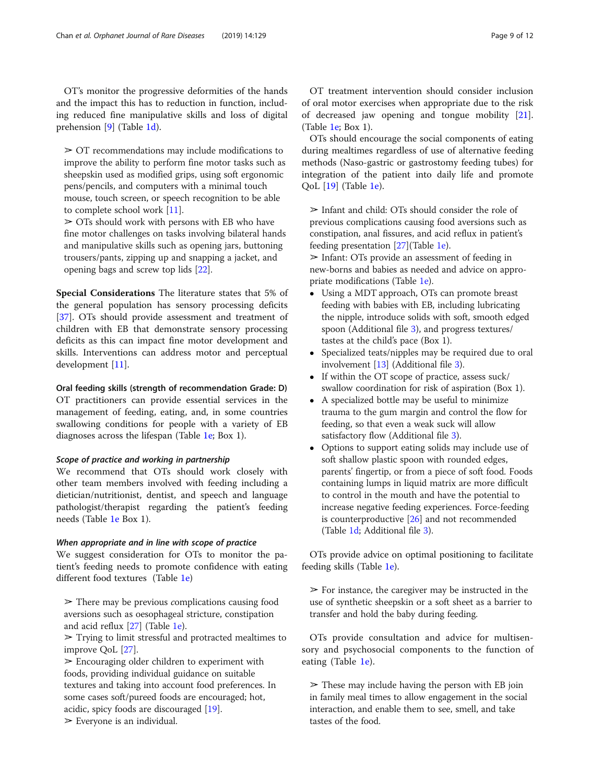OT's monitor the progressive deformities of the hands and the impact this has to reduction in function, including reduced fine manipulative skills and loss of digital prehension [\[9\]](#page-11-0) (Table [1d\)](#page-3-0).

➢ OT recommendations may include modifications to improve the ability to perform fine motor tasks such as sheepskin used as modified grips, using soft ergonomic pens/pencils, and computers with a minimal touch mouse, touch screen, or speech recognition to be able to complete school work [[11](#page-11-0)].

 $>$  OTs should work with persons with EB who have fine motor challenges on tasks involving bilateral hands and manipulative skills such as opening jars, buttoning trousers/pants, zipping up and snapping a jacket, and opening bags and screw top lids [[22](#page-11-0)].

Special Considerations The literature states that 5% of the general population has sensory processing deficits [[37\]](#page-11-0). OTs should provide assessment and treatment of children with EB that demonstrate sensory processing deficits as this can impact fine motor development and skills. Interventions can address motor and perceptual development [\[11](#page-11-0)].

Oral feeding skills (strength of recommendation Grade: D) OT practitioners can provide essential services in the management of feeding, eating, and, in some countries swallowing conditions for people with a variety of EB diagnoses across the lifespan (Table [1e;](#page-3-0) Box 1).

#### Scope of practice and working in partnership

We recommend that OTs should work closely with other team members involved with feeding including a dietician/nutritionist, dentist, and speech and language pathologist/therapist regarding the patient's feeding needs (Table [1e](#page-3-0) Box 1).

# When appropriate and in line with scope of practice

We suggest consideration for OTs to monitor the patient's feeding needs to promote confidence with eating different food textures (Table [1e\)](#page-3-0)

 $\geq$  There may be previous complications causing food aversions such as oesophageal stricture, constipation and acid reflux [[27](#page-11-0)] (Table [1e\)](#page-3-0).

➢ Trying to limit stressful and protracted mealtimes to improve QoL [[27](#page-11-0)].

 $\geq$  Encouraging older children to experiment with foods, providing individual guidance on suitable textures and taking into account food preferences. In some cases soft/pureed foods are encouraged; hot, acidic, spicy foods are discouraged [[19](#page-11-0)].

 $\triangleright$  Everyone is an individual.

OTs should encourage the social components of eating during mealtimes regardless of use of alternative feeding methods (Naso-gastric or gastrostomy feeding tubes) for integration of the patient into daily life and promote QoL [\[19\]](#page-11-0) (Table [1e\)](#page-3-0).

➢ Infant and child: OTs should consider the role of previous complications causing food aversions such as constipation, anal fissures, and acid reflux in patient's feeding presentation  $[27]$ (Table [1e](#page-3-0)).

➢ Infant: OTs provide an assessment of feeding in new-borns and babies as needed and advice on appropriate modifications (Table [1e\)](#page-3-0).

- Using a MDT approach, OTs can promote breast feeding with babies with EB, including lubricating the nipple, introduce solids with soft, smooth edged spoon (Additional file [3\)](#page-9-0), and progress textures/ tastes at the child's pace (Box 1).
- Specialized teats/nipples may be required due to oral involvement [\[13\]](#page-11-0) (Additional file [3\)](#page-9-0).
- If within the OT scope of practice, assess suck/ swallow coordination for risk of aspiration (Box 1).
- A specialized bottle may be useful to minimize trauma to the gum margin and control the flow for feeding, so that even a weak suck will allow satisfactory flow (Additional file [3\)](#page-9-0).
- Options to support eating solids may include use of soft shallow plastic spoon with rounded edges, parents' fingertip, or from a piece of soft food. Foods containing lumps in liquid matrix are more difficult to control in the mouth and have the potential to increase negative feeding experiences. Force-feeding is counterproductive [[26\]](#page-11-0) and not recommended (Table [1d](#page-3-0); Additional file [3](#page-9-0)).

OTs provide advice on optimal positioning to facilitate feeding skills (Table [1e\)](#page-3-0).

 $\triangleright$  For instance, the caregiver may be instructed in the use of synthetic sheepskin or a soft sheet as a barrier to transfer and hold the baby during feeding.

OTs provide consultation and advice for multisensory and psychosocial components to the function of eating (Table [1e](#page-3-0)).

 $\geq$  These may include having the person with EB join in family meal times to allow engagement in the social interaction, and enable them to see, smell, and take tastes of the food.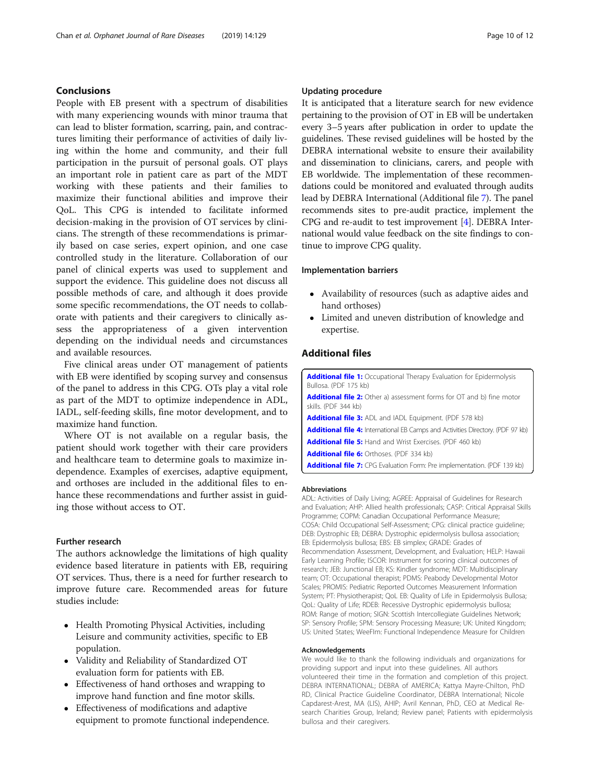# <span id="page-9-0"></span>Conclusions

People with EB present with a spectrum of disabilities with many experiencing wounds with minor trauma that can lead to blister formation, scarring, pain, and contractures limiting their performance of activities of daily living within the home and community, and their full participation in the pursuit of personal goals. OT plays an important role in patient care as part of the MDT working with these patients and their families to maximize their functional abilities and improve their QoL. This CPG is intended to facilitate informed decision-making in the provision of OT services by clinicians. The strength of these recommendations is primarily based on case series, expert opinion, and one case controlled study in the literature. Collaboration of our panel of clinical experts was used to supplement and support the evidence. This guideline does not discuss all possible methods of care, and although it does provide some specific recommendations, the OT needs to collaborate with patients and their caregivers to clinically assess the appropriateness of a given intervention depending on the individual needs and circumstances and available resources.

Five clinical areas under OT management of patients with EB were identified by scoping survey and consensus of the panel to address in this CPG. OTs play a vital role as part of the MDT to optimize independence in ADL, IADL, self-feeding skills, fine motor development, and to maximize hand function.

Where OT is not available on a regular basis, the patient should work together with their care providers and healthcare team to determine goals to maximize independence. Examples of exercises, adaptive equipment, and orthoses are included in the additional files to enhance these recommendations and further assist in guiding those without access to OT.

# Further research

The authors acknowledge the limitations of high quality evidence based literature in patients with EB, requiring OT services. Thus, there is a need for further research to improve future care. Recommended areas for future studies include:

- Health Promoting Physical Activities, including Leisure and community activities, specific to EB population.
- Validity and Reliability of Standardized OT evaluation form for patients with EB.
- Effectiveness of hand orthoses and wrapping to improve hand function and fine motor skills.
- Effectiveness of modifications and adaptive equipment to promote functional independence.

# Updating procedure

It is anticipated that a literature search for new evidence pertaining to the provision of OT in EB will be undertaken every 3–5 years after publication in order to update the guidelines. These revised guidelines will be hosted by the DEBRA international website to ensure their availability and dissemination to clinicians, carers, and people with EB worldwide. The implementation of these recommendations could be monitored and evaluated through audits lead by DEBRA International (Additional file 7). The panel recommends sites to pre-audit practice, implement the CPG and re-audit to test improvement [\[4\]](#page-11-0). DEBRA International would value feedback on the site findings to continue to improve CPG quality.

# Implementation barriers

- Availability of resources (such as adaptive aides and hand orthoses)
- Limited and uneven distribution of knowledge and expertise.

# Additional files

| <b>Additional file 1:</b> Occupational Therapy Evaluation for Epidermolysis<br>Bullosa. (PDF 175 kb) |
|------------------------------------------------------------------------------------------------------|
| <b>Additional file 2:</b> Other a) assessment forms for OT and b) fine motor<br>skills. (PDF 344 kb) |
| <b>Additional file 3:</b> ADL and IADL Equipment. (PDF 578 kb)                                       |
| <b>Additional file 4:</b> International EB Camps and Activities Directory. (PDF 97 kb)               |
| <b>Additional file 5:</b> Hand and Wrist Exercises. (PDF 460 kb)                                     |
| <b>Additional file 6: Orthoses. (PDF 334 kb)</b>                                                     |
| <b>Additional file 7:</b> CPG Evaluation Form: Pre implementation. (PDF 139 kb)                      |

# Abbreviations

ADL: Activities of Daily Living; AGREE: Appraisal of Guidelines for Research and Evaluation; AHP: Allied health professionals; CASP: Critical Appraisal Skills Programme; COPM: Canadian Occupational Performance Measure; COSA: Child Occupational Self-Assessment; CPG: clinical practice guideline; DEB: Dystrophic EB; DEBRA: Dystrophic epidermolysis bullosa association; EB: Epidermolysis bullosa; EBS: EB simplex; GRADE: Grades of Recommendation Assessment, Development, and Evaluation; HELP: Hawaii Early Learning Profile; ISCOR: Instrument for scoring clinical outcomes of research; JEB: Junctional EB; KS: Kindler syndrome; MDT: Multidisciplinary team; OT: Occupational therapist; PDMS: Peabody Developmental Motor Scales; PROMIS: Pediatric Reported Outcomes Measurement Information System; PT: Physiotherapist; QoL EB: Quality of Life in Epidermolysis Bullosa; QoL: Quality of Life; RDEB: Recessive Dystrophic epidermolysis bullosa; ROM: Range of motion; SIGN: Scottish Intercollegiate Guidelines Network; SP: Sensory Profile; SPM: Sensory Processing Measure; UK: United Kingdom; US: United States; WeeFIm: Functional Independence Measure for Children

#### Acknowledgements

We would like to thank the following individuals and organizations for providing support and input into these guidelines. All authors volunteered their time in the formation and completion of this project. DEBRA INTERNATIONAL; DEBRA of AMERICA; Kattya Mayre-Chilton, PhD RD, Clinical Practice Guideline Coordinator, DEBRA International; Nicole Capdarest-Arest, MA (LIS), AHIP; Avril Kennan, PhD, CEO at Medical Research Charities Group, Ireland; Review panel; Patients with epidermolysis bullosa and their caregivers.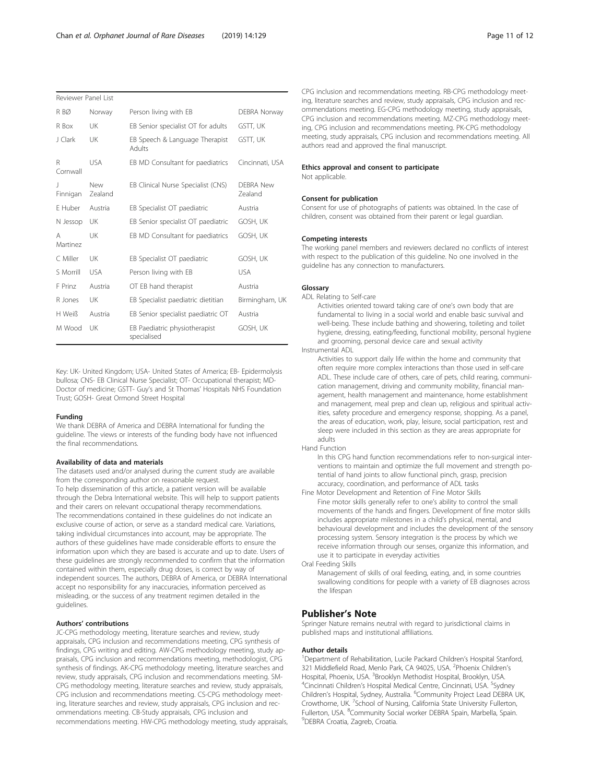| Reviewer Panel List |                |                                              |                      |
|---------------------|----------------|----------------------------------------------|----------------------|
| R BØ                | Norway         | Person living with EB                        | DEBRA Norway         |
| R Box               | UK             | EB Senior specialist OT for adults           | GSTT, UK             |
| J Clark             | UK             | EB Speech & Language Therapist<br>Adults     | GSTT, UK             |
| R<br>Cornwall       | <b>USA</b>     | EB MD Consultant for paediatrics             | Cincinnati, USA      |
| J<br>Finnigan       | New<br>Zealand | EB Clinical Nurse Specialist (CNS)           | DFBRA New<br>Zealand |
| F Huber             | Austria        | EB Specialist OT paediatric                  | Austria              |
| N Jessop            | UK             | EB Senior specialist OT paediatric           | GOSH, UK             |
| А<br>Martinez       | UK             | EB MD Consultant for paediatrics             | GOSH, UK             |
| C Miller            | UK             | EB Specialist OT paediatric                  | GOSH, UK             |
| S Morrill           | <b>USA</b>     | Person living with EB                        | <b>USA</b>           |
| F Prinz             | Austria        | OT EB hand therapist                         | Austria              |
| R Jones             | UK             | EB Specialist paediatric dietitian           | Birmingham, UK       |
| H Weiß              | Austria        | EB Senior specialist paediatric OT           | Austria              |
| M Wood              | UK             | EB Paediatric physiotherapist<br>specialised | GOSH, UK             |

Key: UK- United Kingdom; USA- United States of America; EB- Epidermolysis bullosa; CNS- EB Clinical Nurse Specialist; OT- Occupational therapist; MD-Doctor of medicine; GSTT- Guy's and St Thomas' Hospitals NHS Foundation Trust; GOSH- Great Ormond Street Hospital

#### Funding

We thank DEBRA of America and DEBRA International for funding the guideline. The views or interests of the funding body have not influenced the final recommendations.

#### Availability of data and materials

The datasets used and/or analysed during the current study are available from the corresponding author on reasonable request. To help dissemination of this article, a patient version will be available through the Debra International website. This will help to support patients and their carers on relevant occupational therapy recommendations. The recommendations contained in these guidelines do not indicate an exclusive course of action, or serve as a standard medical care. Variations, taking individual circumstances into account, may be appropriate. The authors of these guidelines have made considerable efforts to ensure the information upon which they are based is accurate and up to date. Users of these guidelines are strongly recommended to confirm that the information contained within them, especially drug doses, is correct by way of independent sources. The authors, DEBRA of America, or DEBRA International accept no responsibility for any inaccuracies, information perceived as misleading, or the success of any treatment regimen detailed in the guidelines.

#### Authors' contributions

JC-CPG methodology meeting, literature searches and review, study appraisals, CPG inclusion and recommendations meeting, CPG synthesis of findings, CPG writing and editing. AW-CPG methodology meeting, study appraisals, CPG inclusion and recommendations meeting, methodologist, CPG synthesis of findings. AK-CPG methodology meeting, literature searches and review, study appraisals, CPG inclusion and recommendations meeting. SM-CPG methodology meeting, literature searches and review, study appraisals, CPG inclusion and recommendations meeting. CS-CPG methodology meeting, literature searches and review, study appraisals, CPG inclusion and recommendations meeting. CB-Study appraisals, CPG inclusion and recommendations meeting. HW-CPG methodology meeting, study appraisals, CPG inclusion and recommendations meeting. RB-CPG methodology meeting, literature searches and review, study appraisals, CPG inclusion and recommendations meeting. EG-CPG methodology meeting, study appraisals, CPG inclusion and recommendations meeting. MZ-CPG methodology meeting, CPG inclusion and recommendations meeting. PK-CPG methodology meeting, study appraisals, CPG inclusion and recommendations meeting. All authors read and approved the final manuscript.

#### Ethics approval and consent to participate

Not applicable.

#### Consent for publication

Consent for use of photographs of patients was obtained. In the case of children, consent was obtained from their parent or legal guardian.

#### Competing interests

The working panel members and reviewers declared no conflicts of interest with respect to the publication of this guideline. No one involved in the guideline has any connection to manufacturers.

#### Glossary

ADL Relating to Self-care

Activities oriented toward taking care of one's own body that are fundamental to living in a social world and enable basic survival and well-being. These include bathing and showering, toileting and toilet hygiene, dressing, eating/feeding, functional mobility, personal hygiene and grooming, personal device care and sexual activity

Instrumental ADL

Activities to support daily life within the home and community that often require more complex interactions than those used in self-care ADL. These include care of others, care of pets, child rearing, communication management, driving and community mobility, financial management, health management and maintenance, home establishment and management, meal prep and clean up, religious and spiritual activities, safety procedure and emergency response, shopping. As a panel, the areas of education, work, play, leisure, social participation, rest and sleep were included in this section as they are areas appropriate for adults

Hand Function

In this CPG hand function recommendations refer to non-surgical interventions to maintain and optimize the full movement and strength potential of hand joints to allow functional pinch, grasp, precision accuracy, coordination, and performance of ADL tasks

Fine Motor Development and Retention of Fine Motor Skills Fine motor skills generally refer to one's ability to control the small movements of the hands and fingers. Development of fine motor skills includes appropriate milestones in a child's physical, mental, and behavioural development and includes the development of the sensory processing system. Sensory integration is the process by which we receive information through our senses, organize this information, and use it to participate in everyday activities

Oral Feeding Skills

Management of skills of oral feeding, eating, and, in some countries swallowing conditions for people with a variety of EB diagnoses across the lifespan

# Publisher's Note

Springer Nature remains neutral with regard to jurisdictional claims in published maps and institutional affiliations.

#### Author details

<sup>1</sup>Department of Rehabilitation, Lucile Packard Children's Hospital Stanford 321 Middlefield Road, Menlo Park, CA 94025, USA. <sup>2</sup>Phoenix Children's Hospital, Phoenix, USA. <sup>3</sup>Brooklyn Methodist Hospital, Brooklyn, USA.<br><sup>4</sup>Cincinnati Childron's Hospital Modical Contre, Cincinnati USA. <sup>5</sup>Svd. Cincinnati Children's Hospital Medical Centre, Cincinnati, USA. <sup>5</sup>Sydney Children's Hospital, Sydney, Australia. <sup>6</sup>Community Project Lead DEBRA UK Crowthorne, UK. <sup>7</sup>School of Nursing, California State University Fullerton Fullerton, USA. <sup>8</sup>Community Social worker DEBRA Spain, Marbella, Spain.<br><sup>9</sup>DEBRA Croatia, Zagreb Croatia. DEBRA Croatia, Zagreb, Croatia.